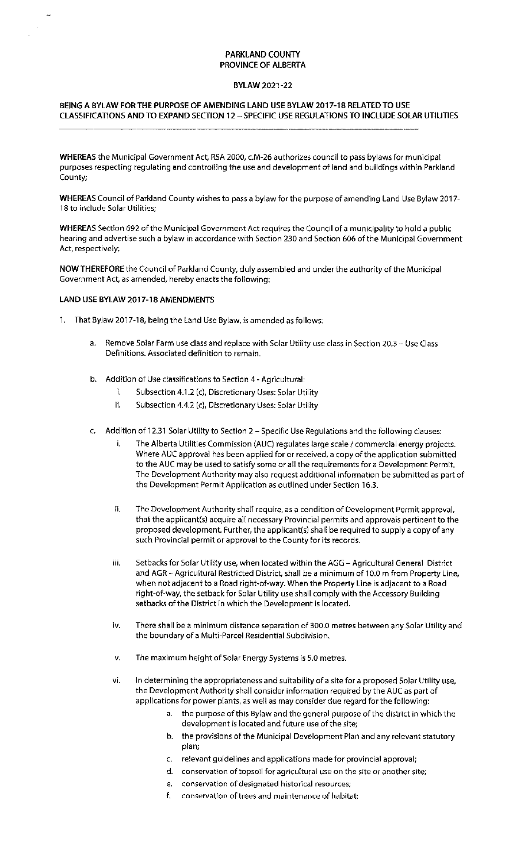## **PARKLAND COUNTY PROVINCE OF ALBERTA**

### **BYLAW 2021-22**

# **BEING A BYLAW** FOR THE **PURPOSE OF AMENDING LAND USE BYLAW 2017-18 RELATED TO USE CLASSIFICATIONS AND TO EXPAND SECTION 12 - SPECIFIC USE REGULATIONS TO INCLUDE SOLAR UTILITIES**

**WHEREAS** the Municipal Government Act, RSA 2000, c.M-26 authorizes council to pass bylaws for municipal purposes respecting regulating and controlling the use and development of land and buildings within Parkland County;

**WHEREAS** Council of Parkland County wishes to pass a bylaw for the purpose of amending Land Use Bylaw 2017- 18 to include Solar Utilities;

**WHEREAS** Section 692 of the Municipal Government Act requires the Council of a municipality to hold a public hearing and advertise such a bylaw in accordance with Section 230 and Section 606 of the Municipal Government Act, respectively;

**NOW THEREFORE** the Council of Parkland County, duly assembled and under the authority of the Municipal Government Act, as amended, hereby enacts the following:

### **LAND USE BYLAW 2017-18 AMENDMENTS**

- 1. That Bylaw 2017-18, being the Land Use Bylaw, is amended as follows:
	- a. Remove Solar Farm use class and replace with Solar Utility use class in Section 20.3 Use Class Definitions. Associated definition to remain.
	- b. Addition of Use classifications to Section 4 Agricultural:
		- i. Subsection 4.1.2 (c), Discretionary Uses: Solar Utility
		- ii. Subsection 4.4.2 (c), Discretionary Uses: Solar Utility
	- c. Addition of 12.31 Solar Utility to Section 2 Specific Use Regulations and the following clauses:
		- i. The Alberta Utilities Commission (AUC) regulates large scale / commercial energy projects. Where AUC approval has been applied for or received, a copy of the application submitted to the AUC may be used to satisfy some or all the requirements for a Development Permit. The Development Authority may also request additional information be submitted as part of the Development Permit Application as outlined under Section 16.3.
		- ii. The Development Authority shall require, as a condition of Development Permit approval, that the applicant(s) acquire all necessary Provincial permits and approvals pertinent to the proposed development. Further, the applicant(s) shall be required to supply a copy of any such Provincial permit or approval to the County for its records.
		- iii. Setbacks for Solar Utility use, when located within the AGG Agricultural General District and AGR - Agricultural Restricted District, shall be a minimum of 10.0 m from Property Line, when not adjacent to a Road right-of-way. When the Property Line is adjacent to a Road right-of-way, the setback for Solar Utility use shall comply with the Accessory Building setbacks of the District in which the Development is located.
		- iv. There shall be a minimum distance separation of 300.0 metres between any Solar Utility and the boundary of a Multi-Parcel Residential Subdivision.
		- v. The maximum height of Solar Energy Systems is 5.0 metres.
		- vi. In determining the appropriateness and suitability of a site for a proposed Solar Utility use, the Development Authority shall consider information required by the AUC as part of applications for power plants, as well as may consider due regard for the following:
			- a. the purpose of this Bylaw and the general purpose of the district in which the development is located and future use of the site;
			- b. the provisions of the Municipal Development Plan and any relevant statutory plan;
			- c. relevant guidelines and applications made for provincial approval;
			- d. conservation of topsoil for agricultural use on the site or another site;
			- e. conservation of designated historical resources;
			- f. conservation of trees and maintenance of habitat;